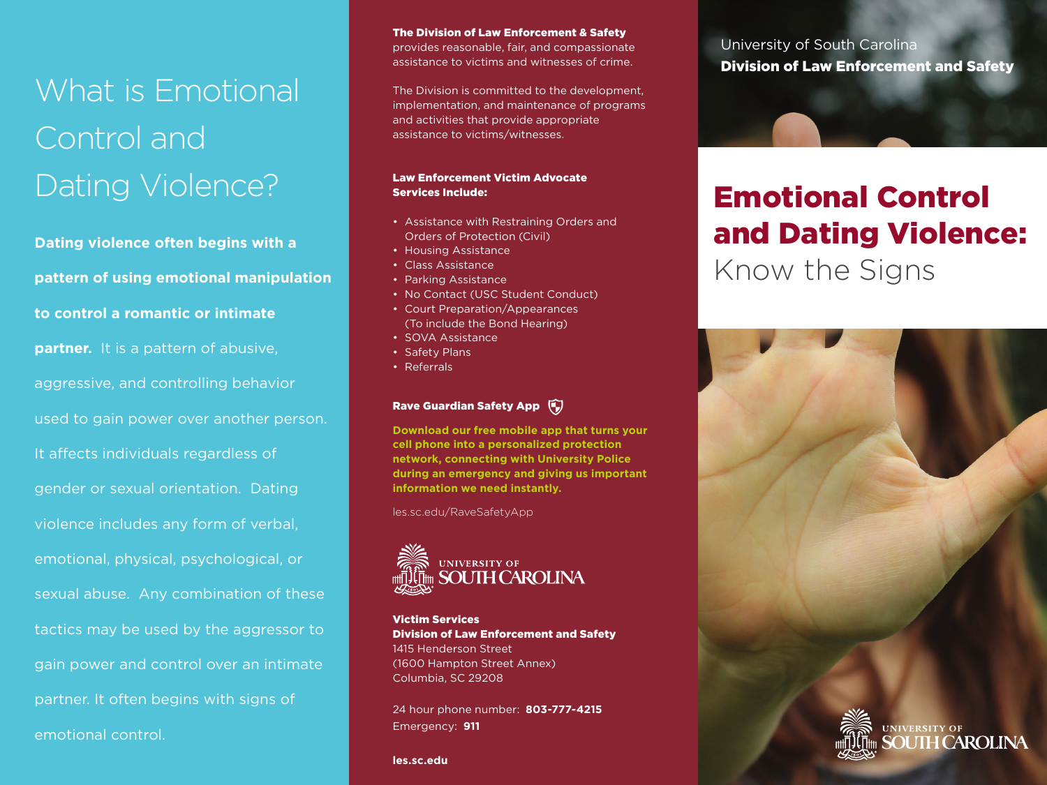# What is Emotional Control and Dating Violence?

**Dating violence often begins with a pattern of using emotional manipulation to control a romantic or intimate partner.** It is a pattern of abusive, aggressive, and controlling behavior used to gain power over another person. It affects individuals regardless of gender or sexual orientation. Dating violence includes any form of verbal, emotional, physical, psychological, or sexual abuse. Any combination of these tactics may be used by the aggressor to gain power and control over an intimate partner. It often begins with signs of emotional control.

The Division of Law Enforcement & Safety provides reasonable, fair, and compassionate assistance to victims and witnesses of crime.

The Division is committed to the development, implementation, and maintenance of programs and activities that provide appropriate assistance to victims/witnesses.

#### Law Enforcement Victim Advocate Services Include:

- Assistance with Restraining Orders and Orders of Protection (Civil)
- Housing Assistance
- Class Assistance
- Parking Assistance
- No Contact (USC Student Conduct)
- Court Preparation/Appearances (To include the Bond Hearing)
- SOVA Assistance
- Safety Plans
- Referrals

#### Rave Guardian Safety App

**Download our free mobile app that turns your cell phone into a personalized protection network, connecting with University Police during an emergency and giving us important information we need instantly.**

les.sc.edu/RaveSafetyApp



Victim Services Division of Law Enforcement and Safety 1415 Henderson Street (1600 Hampton Street Annex) Columbia, SC 29208

24 hour phone number: **803-777-4215** Emergency: **911**

**les.sc.edu**

University of South Carolina Division of Law Enforcement and Safety

## Emotional Control and Dating Violence: Know the Signs